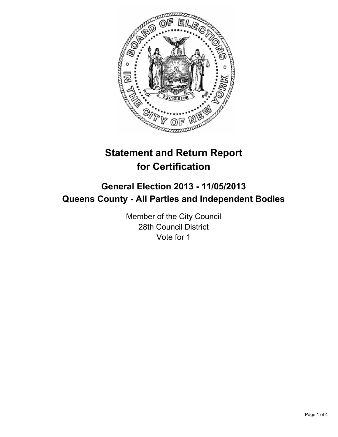

# **Statement and Return Report for Certification**

## **General Election 2013 - 11/05/2013 Queens County - All Parties and Independent Bodies**

Member of the City Council 28th Council District Vote for 1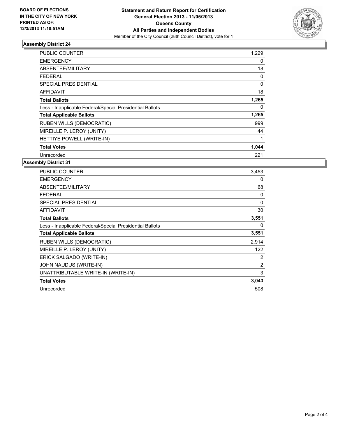

#### **Assembly District 24**

| <b>PUBLIC COUNTER</b>                                    | 1,229 |
|----------------------------------------------------------|-------|
| <b>EMERGENCY</b>                                         | 0     |
| ABSENTEE/MILITARY                                        | 18    |
| <b>FEDERAL</b>                                           | 0     |
| SPECIAL PRESIDENTIAL                                     | 0     |
| AFFIDAVIT                                                | 18    |
| <b>Total Ballots</b>                                     | 1,265 |
| Less - Inapplicable Federal/Special Presidential Ballots | 0     |
| <b>Total Applicable Ballots</b>                          | 1,265 |
| <b>RUBEN WILLS (DEMOCRATIC)</b>                          | 999   |
| MIREILLE P. LEROY (UNITY)                                | 44    |
| HETTIYE POWELL (WRITE-IN)                                |       |
| <b>Total Votes</b>                                       | 1,044 |
| Unrecorded                                               | 221   |

**Assembly District 31**

| <b>PUBLIC COUNTER</b>                                    | 3,453    |
|----------------------------------------------------------|----------|
| <b>EMERGENCY</b>                                         | 0        |
| ABSENTEE/MILITARY                                        | 68       |
| <b>FEDERAL</b>                                           | 0        |
| <b>SPECIAL PRESIDENTIAL</b>                              | $\Omega$ |
| <b>AFFIDAVIT</b>                                         | 30       |
| <b>Total Ballots</b>                                     | 3,551    |
| Less - Inapplicable Federal/Special Presidential Ballots | 0        |
| <b>Total Applicable Ballots</b>                          | 3,551    |
| <b>RUBEN WILLS (DEMOCRATIC)</b>                          | 2,914    |
| MIREILLE P. LEROY (UNITY)                                | 122      |
| ERICK SALGADO (WRITE-IN)                                 | 2        |
| JOHN NAUDUS (WRITE-IN)                                   | 2        |
| UNATTRIBUTABLE WRITE-IN (WRITE-IN)                       | 3        |
| <b>Total Votes</b>                                       | 3,043    |
| Unrecorded                                               | 508      |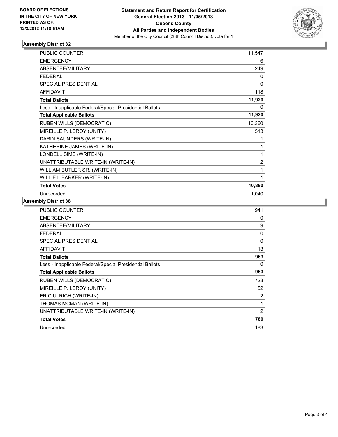

### **Assembly District 32**

| <b>PUBLIC COUNTER</b>                                    | 11,547         |
|----------------------------------------------------------|----------------|
| <b>EMERGENCY</b>                                         | 6              |
| ABSENTEE/MILITARY                                        | 249            |
| <b>FEDERAL</b>                                           | 0              |
| <b>SPECIAL PRESIDENTIAL</b>                              | 0              |
| <b>AFFIDAVIT</b>                                         | 118            |
| <b>Total Ballots</b>                                     | 11,920         |
| Less - Inapplicable Federal/Special Presidential Ballots | 0              |
| <b>Total Applicable Ballots</b>                          | 11,920         |
| <b>RUBEN WILLS (DEMOCRATIC)</b>                          | 10,360         |
| MIREILLE P. LEROY (UNITY)                                | 513            |
| DARIN SAUNDERS (WRITE-IN)                                | 1              |
| KATHERINE JAMES (WRITE-IN)                               | 1              |
| LONDELL SIMS (WRITE-IN)                                  | 1              |
| UNATTRIBUTABLE WRITE-IN (WRITE-IN)                       | $\overline{2}$ |
| WILLIAM BUTLER SR. (WRITE-IN)                            | 1              |
| WILLIE L BARKER (WRITE-IN)                               | 1              |
| <b>Total Votes</b>                                       | 10,880         |
| Unrecorded                                               | 1,040          |

#### **Assembly District 38**

| <b>PUBLIC COUNTER</b>                                    | 941            |
|----------------------------------------------------------|----------------|
| <b>EMERGENCY</b>                                         | 0              |
| ABSENTEE/MILITARY                                        | 9              |
| FEDERAL                                                  | 0              |
| <b>SPECIAL PRESIDENTIAL</b>                              | 0              |
| <b>AFFIDAVIT</b>                                         | 13             |
| <b>Total Ballots</b>                                     | 963            |
| Less - Inapplicable Federal/Special Presidential Ballots | 0              |
| <b>Total Applicable Ballots</b>                          | 963            |
| <b>RUBEN WILLS (DEMOCRATIC)</b>                          | 723            |
| MIREILLE P. LEROY (UNITY)                                | 52             |
| ERIC ULRICH (WRITE-IN)                                   | 2              |
| THOMAS MCMAN (WRITE-IN)                                  | 1              |
| UNATTRIBUTABLE WRITE-IN (WRITE-IN)                       | $\overline{2}$ |
| <b>Total Votes</b>                                       | 780            |
| Unrecorded                                               | 183            |